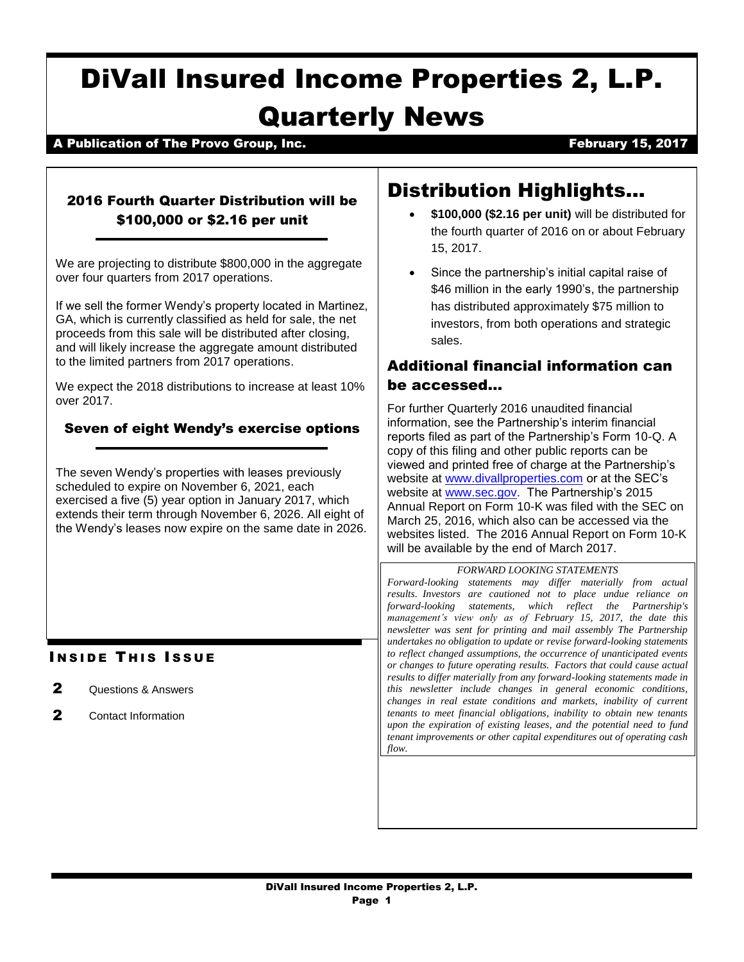# DiVall Insured Income Properties 2, L.P. Quarterly News

# A Publication of The Provo Group, Inc. The Controller of the Section of The Provo Group, Inc. February 15, 2017

# 2016 Fourth Quarter Distribution will be \$100,000 or \$2.16 per unit

We are projecting to distribute \$800,000 in the aggregate over four quarters from 2017 operations.

If we sell the former Wendy's property located in Martinez, GA, which is currently classified as held for sale, the net proceeds from this sale will be distributed after closing, and will likely increase the aggregate amount distributed to the limited partners from 2017 operations.

We expect the 2018 distributions to increase at least 10% over 2017.

# Seven of eight Wendy's exercise options

The seven Wendy's properties with leases previously scheduled to expire on November 6, 2021, each exercised a five (5) year option in January 2017, which extends their term through November 6, 2026. All eight of the Wendy's leases now expire on the same date in 2026.

# **INSIDE THIS ISSUE**

- 2 Questions & Answers
- 2 Contact Information

# Distribution Highlights…

- **\$100,000 (\$2.16 per unit)** will be distributed for the fourth quarter of 2016 on or about February 15, 2017.
- Since the partnership's initial capital raise of \$46 million in the early 1990's, the partnership has distributed approximately \$75 million to investors, from both operations and strategic sales.

# Additional financial information can be accessed…

For further Quarterly 2016 unaudited financial information, see the Partnership's interim financial reports filed as part of the Partnership's Form 10-Q. A copy of this filing and other public reports can be viewed and printed free of charge at the Partnership's website at [www.divallproperties.com](http://www.divallproperties.com/) or at the SEC's website at [www.sec.gov.](http://www.sec.gov/) The Partnership's 2015 Annual Report on Form 10-K was filed with the SEC on March 25, 2016, which also can be accessed via the websites listed. The 2016 Annual Report on Form 10-K will be available by the end of March 2017.

#### *FORWARD LOOKING STATEMENTS*

*Forward-looking statements may differ materially from actual results. Investors are cautioned not to place undue reliance on forward-looking statements, which reflect the Partnership's management's view only as of February 15, 2017, the date this newsletter was sent for printing and mail assembly The Partnership undertakes no obligation to update or revise forward-looking statements to reflect changed assumptions, the occurrence of unanticipated events or changes to future operating results. Factors that could cause actual results to differ materially from any forward-looking statements made in this newsletter include changes in general economic conditions, changes in real estate conditions and markets, inability of current tenants to meet financial obligations, inability to obtain new tenants upon the expiration of existing leases, and the potential need to fund tenant improvements or other capital expenditures out of operating cash flow.*